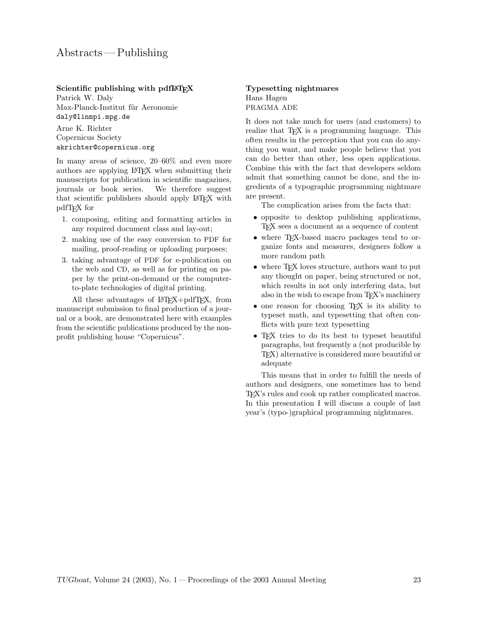Scientific publishing with pdfLAT<sub>EX</sub>

Patrick W. Daly Max-Planck-Institut für Aeronomie daly@linmpi.mpg.de

Arne K. Richter Copernicus Society akrichter@copernicus.org

In many areas of science, 20–60% and even more authors are applying LATEX when submitting their manuscripts for publication in scientific magazines, journals or book series. We therefore suggest that scientific publishers should apply LATEX with pdfTEX for

- 1. composing, editing and formatting articles in any required document class and lay-out;
- 2. making use of the easy conversion to PDF for mailing, proof-reading or uploading purposes;
- 3. taking advantage of PDF for e-publication on the web and CD, as well as for printing on paper by the print-on-demand or the computerto-plate technologies of digital printing.

All these advantages of LAT<sub>EX</sub>+pdfT<sub>EX</sub>, from manuscript submission to final production of a journal or a book, are demonstrated here with examples from the scientific publications produced by the nonprofit publishing house "Copernicus".

## Typesetting nightmares Hans Hagen PRAGMA ADE

It does not take much for users (and customers) to realize that T<sub>E</sub>X is a programming language. This often results in the perception that you can do anything you want, and make people believe that you can do better than other, less open applications. Combine this with the fact that developers seldom admit that something cannot be done, and the ingredients of a typographic programming nightmare are present.

The complication arises from the facts that:

- opposite to desktop publishing applications, TEX sees a document as a sequence of content
- where T<sub>F</sub>X-based macro packages tend to organize fonts and measures, designers follow a more random path
- where TEX loves structure, authors want to put any thought on paper, being structured or not, which results in not only interfering data, but also in the wish to escape from TEX's machinery
- one reason for choosing T<sub>EX</sub> is its ability to typeset math, and typesetting that often conflicts with pure text typesetting
- TEX tries to do its best to typeset beautiful paragraphs, but frequently a (not producible by TEX) alternative is considered more beautiful or adequate

This means that in order to fulfill the needs of authors and designers, one sometimes has to bend TEX's rules and cook up rather complicated macros. In this presentation I will discuss a couple of last year's (typo-)graphical programming nightmares.